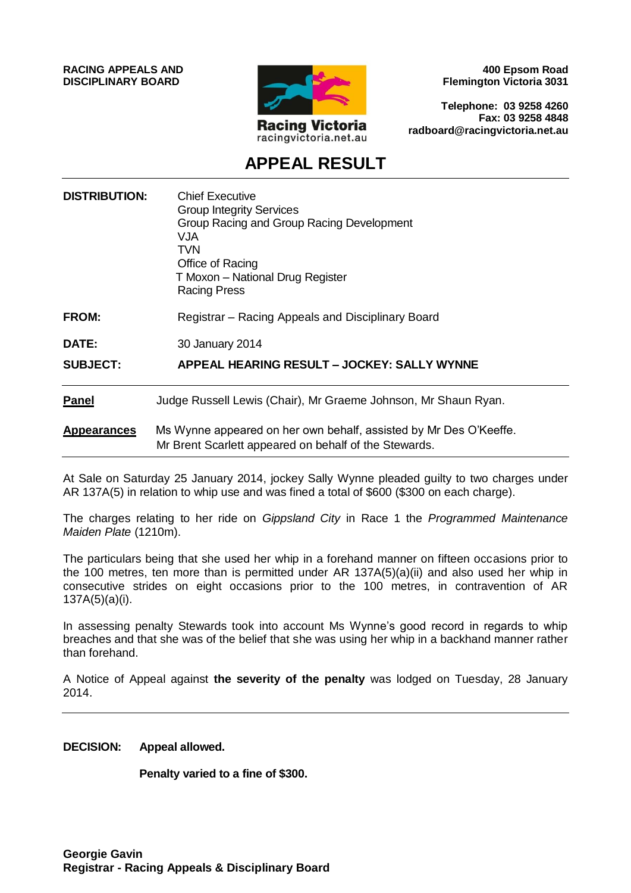**RACING APPEALS AND DISCIPLINARY BOARD**



**400 Epsom Road Flemington Victoria 3031**

**Telephone: 03 9258 4260 Fax: 03 9258 4848 radboard@racingvictoria.net.au**

# **APPEAL RESULT**

| <b>DISTRIBUTION:</b> | <b>Chief Executive</b><br><b>Group Integrity Services</b><br>Group Racing and Group Racing Development<br><b>VJA</b><br><b>TVN</b><br>Office of Racing<br>T Moxon - National Drug Register<br><b>Racing Press</b> |
|----------------------|-------------------------------------------------------------------------------------------------------------------------------------------------------------------------------------------------------------------|
| <b>FROM:</b>         | Registrar – Racing Appeals and Disciplinary Board                                                                                                                                                                 |
| <b>DATE:</b>         | 30 January 2014                                                                                                                                                                                                   |
| <b>SUBJECT:</b>      | APPEAL HEARING RESULT - JOCKEY: SALLY WYNNE                                                                                                                                                                       |
| P <u>anel</u>        | Judge Russell Lewis (Chair), Mr Graeme Johnson, Mr Shaun Ryan.                                                                                                                                                    |
| <b>Appearances</b>   | Ms Wynne appeared on her own behalf, assisted by Mr Des O'Keeffe.<br>Mr Brent Scarlett appeared on behalf of the Stewards.                                                                                        |

At Sale on Saturday 25 January 2014, jockey Sally Wynne pleaded guilty to two charges under AR 137A(5) in relation to whip use and was fined a total of \$600 (\$300 on each charge).

The charges relating to her ride on *Gippsland City* in Race 1 the *Programmed Maintenance Maiden Plate* (1210m).

The particulars being that she used her whip in a forehand manner on fifteen occasions prior to the 100 metres, ten more than is permitted under AR 137A(5)(a)(ii) and also used her whip in consecutive strides on eight occasions prior to the 100 metres, in contravention of AR 137A(5)(a)(i).

In assessing penalty Stewards took into account Ms Wynne's good record in regards to whip breaches and that she was of the belief that she was using her whip in a backhand manner rather than forehand.

A Notice of Appeal against **the severity of the penalty** was lodged on Tuesday, 28 January 2014.

**DECISION: Appeal allowed.** 

**Penalty varied to a fine of \$300.**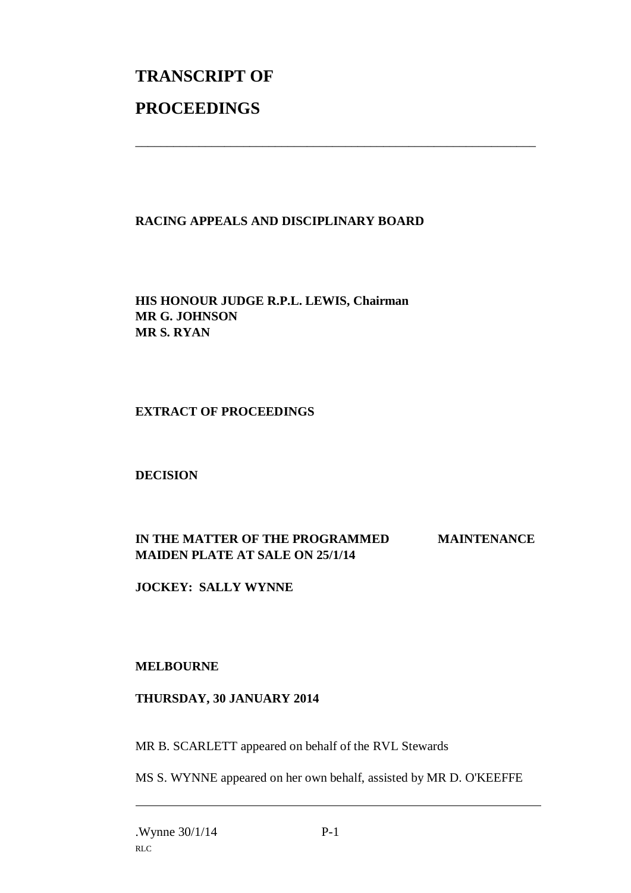# **TRANSCRIPT OF PROCEEDINGS**

## **RACING APPEALS AND DISCIPLINARY BOARD**

\_\_\_\_\_\_\_\_\_\_\_\_\_\_\_\_\_\_\_\_\_\_\_\_\_\_\_\_\_\_\_\_\_\_\_\_\_\_\_\_\_\_\_\_\_\_\_\_\_\_\_\_\_\_\_\_\_\_\_\_\_\_\_

**HIS HONOUR JUDGE R.P.L. LEWIS, Chairman MR G. JOHNSON MR S. RYAN** 

#### **EXTRACT OF PROCEEDINGS**

**DECISION** 

### **IN THE MATTER OF THE PROGRAMMED MAINTENANCE MAIDEN PLATE AT SALE ON 25/1/14**

**JOCKEY: SALLY WYNNE** 

#### **MELBOURNE**

#### **THURSDAY, 30 JANUARY 2014**

MR B. SCARLETT appeared on behalf of the RVL Stewards

MS S. WYNNE appeared on her own behalf, assisted by MR D. O'KEEFFE